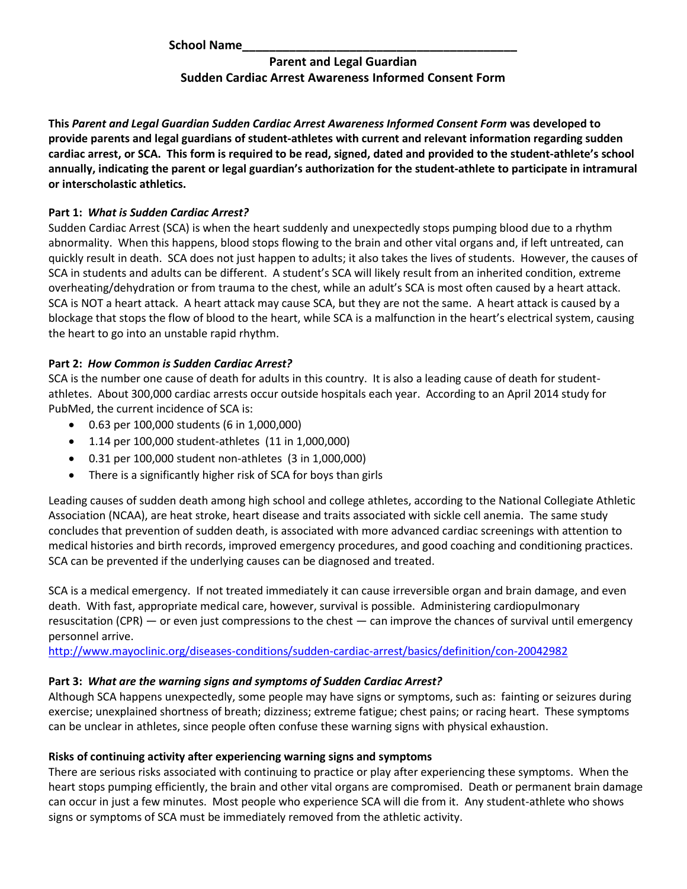**School Name\_\_\_\_\_\_\_\_\_\_\_\_\_\_\_\_\_\_\_\_\_\_\_\_\_\_\_\_\_\_\_\_\_\_\_\_\_\_\_\_\_** 

# **Parent and Legal Guardian Sudden Cardiac Arrest Awareness Informed Consent Form**

**This** *Parent and Legal Guardian Sudden Cardiac Arrest Awareness Informed Consent Form* **was developed to provide parents and legal guardians of student-athletes with current and relevant information regarding sudden cardiac arrest, or SCA. This form is required to be read, signed, dated and provided to the student-athlete's school annually, indicating the parent or legal guardian's authorization for the student-athlete to participate in intramural or interscholastic athletics.** 

## **Part 1:** *What is Sudden Cardiac Arrest?*

Sudden Cardiac Arrest (SCA) is when the heart suddenly and unexpectedly stops pumping blood due to a rhythm abnormality. When this happens, blood stops flowing to the brain and other vital organs and, if left untreated, can quickly result in death. SCA does not just happen to adults; it also takes the lives of students. However, the causes of SCA in students and adults can be different. A student's SCA will likely result from an inherited condition, extreme overheating/dehydration or from trauma to the chest, while an adult's SCA is most often caused by a heart attack. SCA is NOT a heart attack. A heart attack may cause SCA, but they are not the same. A heart attack is caused by a blockage that stops the flow of blood to the heart, while SCA is a malfunction in the heart's electrical system, causing the heart to go into an unstable rapid rhythm.

# **Part 2:** *How Common is Sudden Cardiac Arrest?*

SCA is the number one cause of death for adults in this country. It is also a leading cause of death for studentathletes. About 300,000 cardiac arrests occur outside hospitals each year. According to an April 2014 study for PubMed, the current incidence of SCA is:

- 0.63 per 100,000 students (6 in 1,000,000)
- 1.14 per 100,000 student-athletes (11 in 1,000,000)
- 0.31 per 100,000 student non-athletes (3 in 1,000,000)
- There is a significantly higher risk of SCA for boys than girls

Leading causes of sudden death among high school and college athletes, according to the National Collegiate Athletic Association (NCAA), are heat stroke, heart disease and traits associated with sickle cell anemia. The same study concludes that prevention of sudden death, is associated with more advanced cardiac screenings with attention to medical histories and birth records, improved emergency procedures, and good coaching and conditioning practices. SCA can be prevented if the underlying causes can be diagnosed and treated.

SCA is a medical emergency. If not treated immediately it can cause irreversible organ and brain damage, and even death. With fast, appropriate medical care, however, survival is possible. Administering cardiopulmonary resuscitation (CPR) — or even just compressions to the chest — can improve the chances of survival until emergency personnel arrive.

<http://www.mayoclinic.org/diseases-conditions/sudden-cardiac-arrest/basics/definition/con-20042982>

### **Part 3:** *What are the warning signs and symptoms of Sudden Cardiac Arrest?*

Although SCA happens unexpectedly, some people may have signs or symptoms, such as: fainting or seizures during exercise; unexplained shortness of breath; dizziness; extreme fatigue; chest pains; or racing heart. These symptoms can be unclear in athletes, since people often confuse these warning signs with physical exhaustion.

### **Risks of continuing activity after experiencing warning signs and symptoms**

There are serious risks associated with continuing to practice or play after experiencing these symptoms. When the heart stops pumping efficiently, the brain and other vital organs are compromised. Death or permanent brain damage can occur in just a few minutes. Most people who experience SCA will die from it. Any student-athlete who shows signs or symptoms of SCA must be immediately removed from the athletic activity.